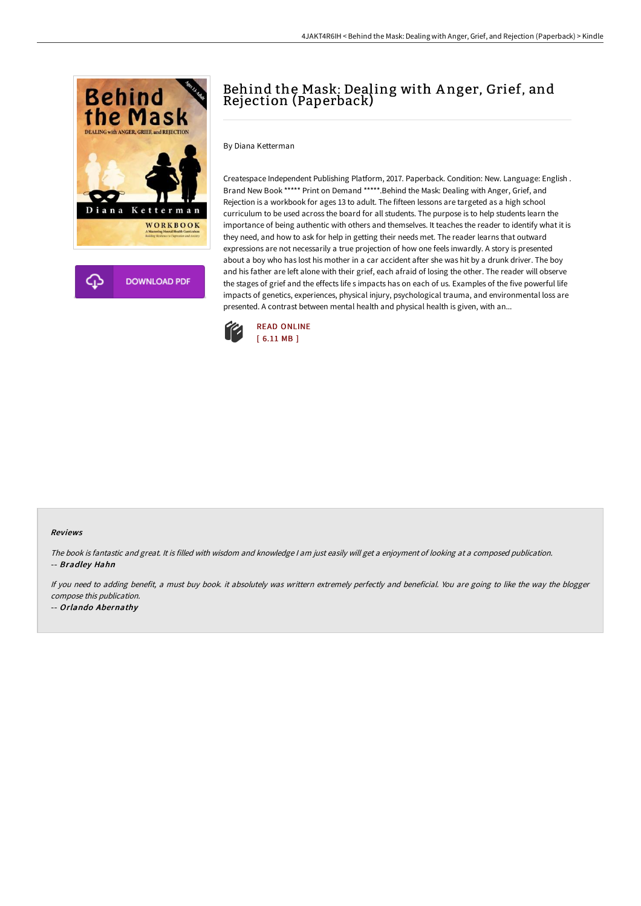

# Behind the Mask: Dealing with A nger, Grief, and Rejection (Paperback)

By Diana Ketterman

Createspace Independent Publishing Platform, 2017. Paperback. Condition: New. Language: English . Brand New Book \*\*\*\*\* Print on Demand \*\*\*\*\*.Behind the Mask: Dealing with Anger, Grief, and Rejection is a workbook for ages 13 to adult. The fifteen lessons are targeted as a high school curriculum to be used across the board for all students. The purpose is to help students learn the importance of being authentic with others and themselves. It teaches the reader to identify what it is they need, and how to ask for help in getting their needs met. The reader learns that outward expressions are not necessarily a true projection of how one feels inwardly. A story is presented about a boy who has lost his mother in a car accident after she was hit by a drunk driver. The boy and his father are left alone with their grief, each afraid of losing the other. The reader will observe the stages of grief and the effects life s impacts has on each of us. Examples of the five powerful life impacts of genetics, experiences, physical injury, psychological trauma, and environmental loss are presented. A contrast between mental health and physical health is given, with an...



#### Reviews

The book is fantastic and great. It is filled with wisdom and knowledge <sup>I</sup> am just easily will get <sup>a</sup> enjoyment of looking at <sup>a</sup> composed publication. -- Bradley Hahn

If you need to adding benefit, <sup>a</sup> must buy book. it absolutely was writtern extremely perfectly and beneficial. You are going to like the way the blogger compose this publication.

-- Orlando Abernathy